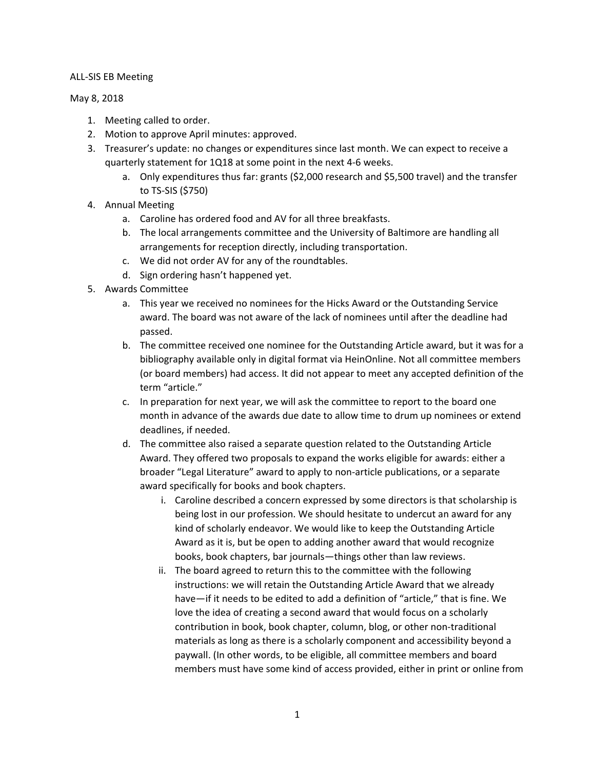## ALL-SIS EB Meeting

## May 8, 2018

- 1. Meeting called to order.
- 2. Motion to approve April minutes: approved.
- 3. Treasurer's update: no changes or expenditures since last month. We can expect to receive a quarterly statement for 1Q18 at some point in the next 4-6 weeks.
	- a. Only expenditures thus far: grants (\$2,000 research and \$5,500 travel) and the transfer to TS-SIS (\$750)
- 4. Annual Meeting
	- a. Caroline has ordered food and AV for all three breakfasts.
	- b. The local arrangements committee and the University of Baltimore are handling all arrangements for reception directly, including transportation.
	- c. We did not order AV for any of the roundtables.
	- d. Sign ordering hasn't happened yet.
- 5. Awards Committee
	- a. This year we received no nominees for the Hicks Award or the Outstanding Service award. The board was not aware of the lack of nominees until after the deadline had passed.
	- b. The committee received one nominee for the Outstanding Article award, but it was for a bibliography available only in digital format via HeinOnline. Not all committee members (or board members) had access. It did not appear to meet any accepted definition of the term "article."
	- c. In preparation for next year, we will ask the committee to report to the board one month in advance of the awards due date to allow time to drum up nominees or extend deadlines, if needed.
	- d. The committee also raised a separate question related to the Outstanding Article Award. They offered two proposals to expand the works eligible for awards: either a broader "Legal Literature" award to apply to non-article publications, or a separate award specifically for books and book chapters.
		- i. Caroline described a concern expressed by some directors is that scholarship is being lost in our profession. We should hesitate to undercut an award for any kind of scholarly endeavor. We would like to keep the Outstanding Article Award as it is, but be open to adding another award that would recognize books, book chapters, bar journals—things other than law reviews.
		- ii. The board agreed to return this to the committee with the following instructions: we will retain the Outstanding Article Award that we already have—if it needs to be edited to add a definition of "article," that is fine. We love the idea of creating a second award that would focus on a scholarly contribution in book, book chapter, column, blog, or other non-traditional materials as long as there is a scholarly component and accessibility beyond a paywall. (In other words, to be eligible, all committee members and board members must have some kind of access provided, either in print or online from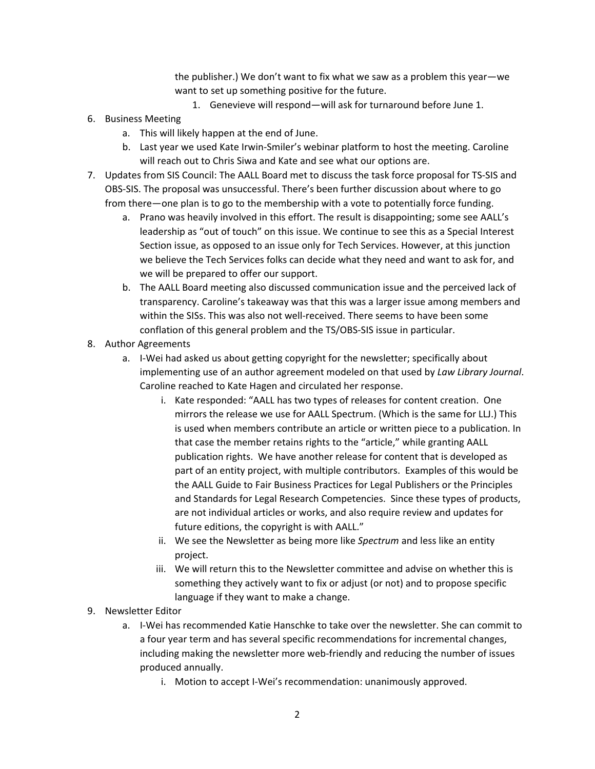the publisher.) We don't want to fix what we saw as a problem this year—we want to set up something positive for the future.

- 1. Genevieve will respond—will ask for turnaround before June 1.
- 6. Business Meeting
	- a. This will likely happen at the end of June.
	- b. Last year we used Kate Irwin-Smiler's webinar platform to host the meeting. Caroline will reach out to Chris Siwa and Kate and see what our options are.
- 7. Updates from SIS Council: The AALL Board met to discuss the task force proposal for TS-SIS and OBS-SIS. The proposal was unsuccessful. There's been further discussion about where to go from there—one plan is to go to the membership with a vote to potentially force funding.
	- a. Prano was heavily involved in this effort. The result is disappointing; some see AALL's leadership as "out of touch" on this issue. We continue to see this as a Special Interest Section issue, as opposed to an issue only for Tech Services. However, at this junction we believe the Tech Services folks can decide what they need and want to ask for, and we will be prepared to offer our support.
	- b. The AALL Board meeting also discussed communication issue and the perceived lack of transparency. Caroline's takeaway was that this was a larger issue among members and within the SISs. This was also not well-received. There seems to have been some conflation of this general problem and the TS/OBS-SIS issue in particular.
- 8. Author Agreements
	- a. I-Wei had asked us about getting copyright for the newsletter; specifically about implementing use of an author agreement modeled on that used by *Law Library Journal*. Caroline reached to Kate Hagen and circulated her response.
		- i. Kate responded: "AALL has two types of releases for content creation. One mirrors the release we use for AALL Spectrum. (Which is the same for LLJ.) This is used when members contribute an article or written piece to a publication. In that case the member retains rights to the "article," while granting AALL publication rights. We have another release for content that is developed as part of an entity project, with multiple contributors. Examples of this would be the AALL Guide to Fair Business Practices for Legal Publishers or the Principles and Standards for Legal Research Competencies. Since these types of products, are not individual articles or works, and also require review and updates for future editions, the copyright is with AALL."
		- ii. We see the Newsletter as being more like *Spectrum* and less like an entity project.
		- iii. We will return this to the Newsletter committee and advise on whether this is something they actively want to fix or adjust (or not) and to propose specific language if they want to make a change.
- 9. Newsletter Editor
	- a. I-Wei has recommended Katie Hanschke to take over the newsletter. She can commit to a four year term and has several specific recommendations for incremental changes, including making the newsletter more web-friendly and reducing the number of issues produced annually.
		- i. Motion to accept I-Wei's recommendation: unanimously approved.